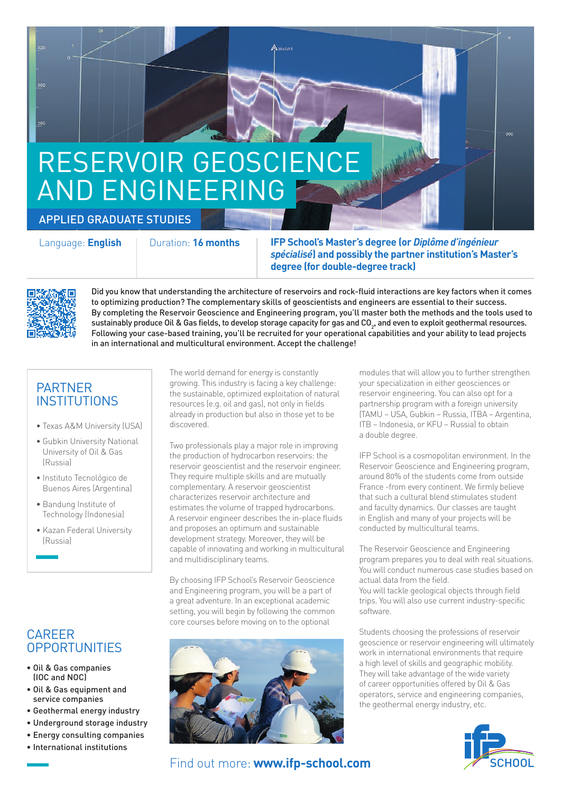# RESERVOIR GEOSCIENCE AND ENGINEERING

### APPLIED GRADUATE STUDIES

Language: **English** Duration: **16 months IFP School's Master's degree (or** *Diplôme d'ingénieur spécialisé***) and possibly the partner institution's Master's degree (for double-degree track)**



Did you know that understanding the architecture of reservoirs and rock-fluid interactions are key factors when it comes to optimizing production? The complementary skills of geoscientists and engineers are essential to their success. By completing the Reservoir Geoscience and Engineering program, you'll master both the methods and the tools used to sustainably produce Oil & Gas fields, to develop storage capacity for gas and CO<sub>2</sub>, and even to exploit geothermal resources. Following your case-based training, you'll be recruited for your operational capabilities and your ability to lead projects in an international and multicultural environment. Accept the challenge!

**WellA** 

## PARTNER **INSTITUTIONS**

- Texas A&M University (USA)
- Gubkin University National University of Oil & Gas (Russia)
- Instituto Tecnológico de Buenos Aires (Argentina)
- Bandung Institute of Technology (Indonesia)
- Kazan Federal University (Russia)

## CAREER **OPPORTUNITIES**

- Oil & Gas companies (IOC and NOC)
- Oil & Gas equipment and service companies
- Geothermal energy industry
- Underground storage industry
- Energy consulting companies
- International institutions

The world demand for energy is constantly growing. This industry is facing a key challenge: the sustainable, optimized exploitation of natural resources (e.g. oil and gas), not only in fields already in production but also in those yet to be discovered.

Two professionals play a major role in improving the production of hydrocarbon reservoirs: the reservoir geoscientist and the reservoir engineer. They require multiple skills and are mutually complementary. A reservoir geoscientist characterizes reservoir architecture and estimates the volume of trapped hydrocarbons. A reservoir engineer describes the in-place fluids and proposes an optimum and sustainable development strategy. Moreover, they will be capable of innovating and working in multicultural and multidisciplinary teams.

By choosing IFP School's Reservoir Geoscience and Engineering program, you will be a part of a great adventure. In an exceptional academic setting, you will begin by following the common core courses before moving on to the optional



Find out more: **www.ifp-school.com**

modules that will allow you to further strengthen your specialization in either geosciences or reservoir engineering. You can also opt for a partnership program with a foreign university (TAMU – USA, Gubkin – Russia, ITBA – Argentina, ITB – Indonesia, or KFU – Russia) to obtain a double degree.

soo.

IFP School is a cosmopolitan environment. In the Reservoir Geoscience and Engineering program, around 80% of the students come from outside France -from every continent. We firmly believe that such a cultural blend stimulates student and faculty dynamics. Our classes are taught in English and many of your projects will be conducted by multicultural teams.

The Reservoir Geoscience and Engineering program prepares you to deal with real situations. You will conduct numerous case studies based on actual data from the field.

You will tackle geological objects through field trips. You will also use current industry-specific software.

Students choosing the professions of reservoir geoscience or reservoir engineering will ultimately work in international environments that require a high level of skills and geographic mobility. They will take advantage of the wide variety of career opportunities offered by Oil & Gas operators, service and engineering companies, the geothermal energy industry, etc.